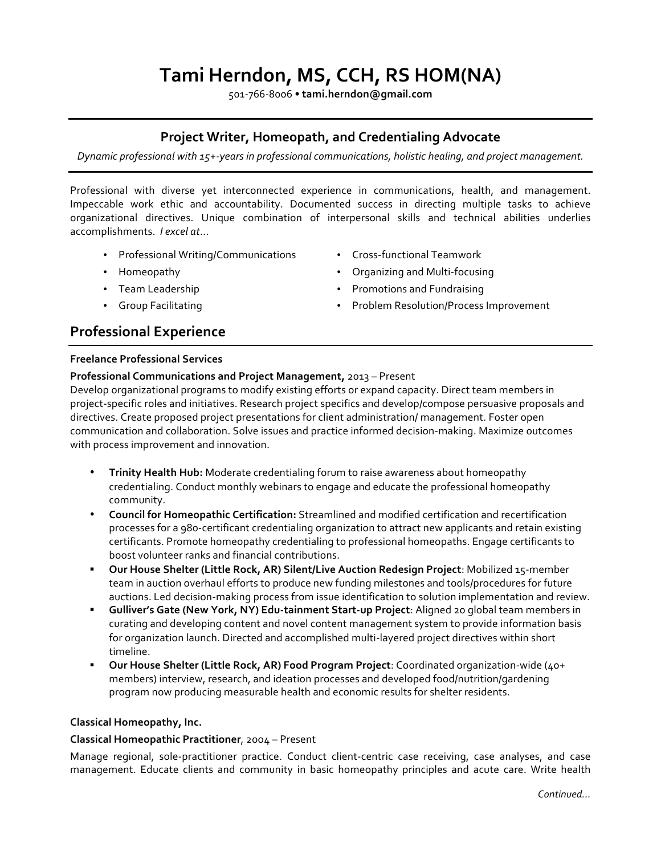# **Tami Herndon, MS, CCH, RS HOM(NA)**

501-766-8006 • **tami.herndon@gmail.com**

### **Project Writer, Homeopath, and Credentialing Advocate**

*Dynamic professional with 15+-years in professional communications, holistic healing, and project management.*

Professional with diverse yet interconnected experience in communications, health, and management. Impeccable work ethic and accountability. Documented success in directing multiple tasks to achieve organizational directives. Unique combination of interpersonal skills and technical abilities underlies accomplishments. *I excel at*...

- Professional Writing/Communications
- Homeopathy
- Team Leadership
- Group Facilitating

## **Professional Experience**

#### **Freelance Professional Services**

#### **Professional Communications and Project Management,** 2013 – Present

Develop organizational programs to modify existing efforts or expand capacity. Direct team members in project-specific roles and initiatives. Research project specifics and develop/compose persuasive proposals and directives. Create proposed project presentations for client administration/ management. Foster open communication and collaboration. Solve issues and practice informed decision-making. Maximize outcomes with process improvement and innovation.

- **Trinity Health Hub:** Moderate credentialing forum to raise awareness about homeopathy credentialing. Conduct monthly webinars to engage and educate the professional homeopathy community.
- **Council for Homeopathic Certification:** Streamlined and modified certification and recertification processes for a 980-certificant credentialing organization to attract new applicants and retain existing certificants. Promote homeopathy credentialing to professional homeopaths. Engage certificants to boost volunteer ranks and financial contributions.
- § **Our House Shelter (Little Rock, AR) Silent/Live Auction Redesign Project**: Mobilized 15-member team in auction overhaul efforts to produce new funding milestones and tools/procedures for future auctions. Led decision-making process from issue identification to solution implementation and review.
- § **Gulliver's Gate (New York, NY) Edu-tainment Start-up Project**: Aligned 20 global team members in curating and developing content and novel content management system to provide information basis for organization launch. Directed and accomplished multi-layered project directives within short timeline.
- § **Our House Shelter (Little Rock, AR) Food Program Project**: Coordinated organization-wide (40+ members) interview, research, and ideation processes and developed food/nutrition/gardening program now producing measurable health and economic results for shelter residents.

#### **Classical Homeopathy, Inc.**

#### **Classical Homeopathic Practitioner**, 2oo4 – Present

Manage regional, sole-practitioner practice. Conduct client-centric case receiving, case analyses, and case management. Educate clients and community in basic homeopathy principles and acute care. Write health

- Cross-functional Teamwork
- Organizing and Multi-focusing
- Promotions and Fundraising
- Problem Resolution/Process Improvement